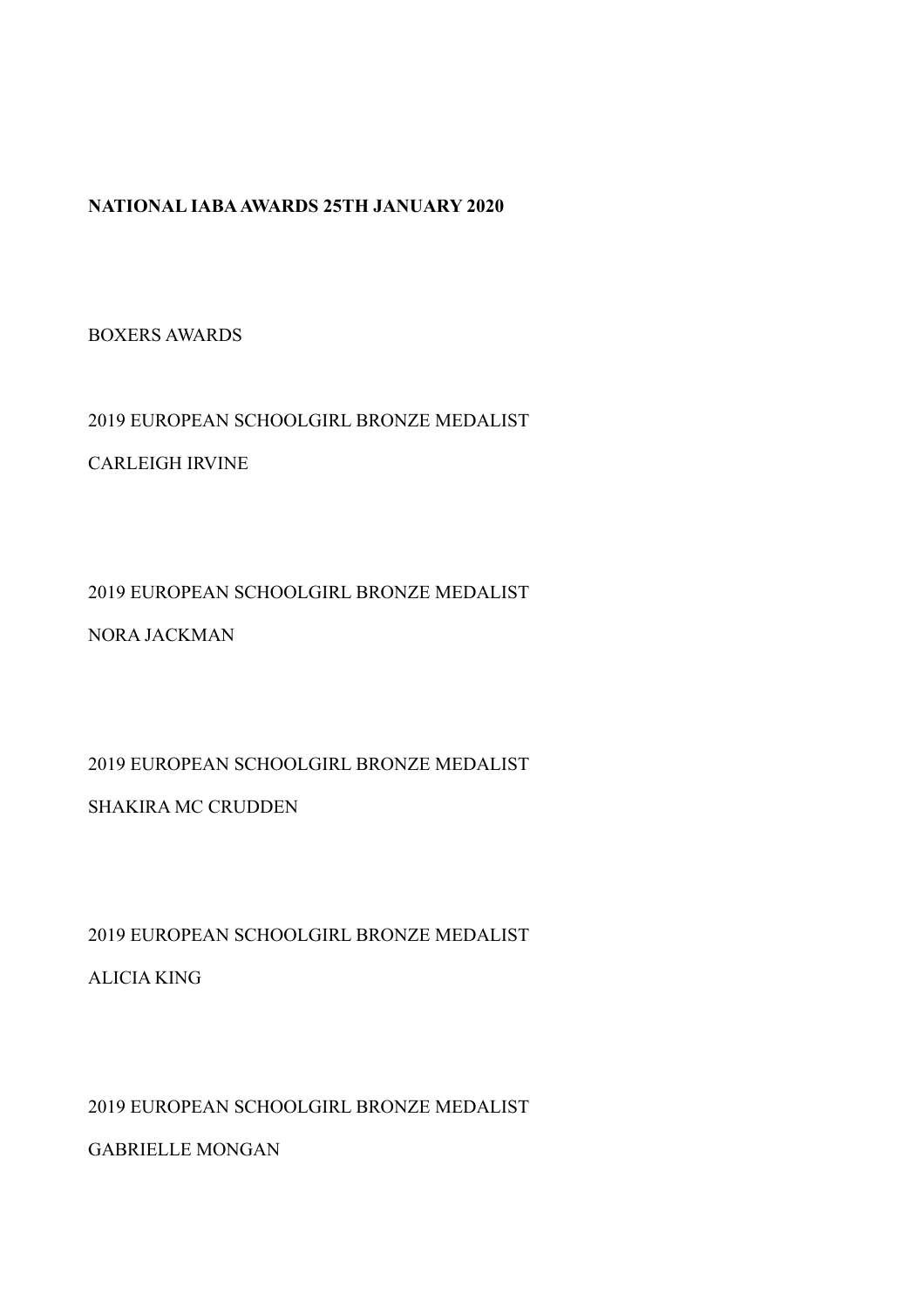#### **NATIONAL IABA AWARDS 25TH JANUARY 2020**

BOXERS AWARDS

2019 EUROPEAN SCHOOLGIRL BRONZE MEDALIST CARLEIGH IRVINE

2019 EUROPEAN SCHOOLGIRL BRONZE MEDALIST

NORA JACKMAN

2019 EUROPEAN SCHOOLGIRL BRONZE MEDALIST

SHAKIRA MC CRUDDEN

2019 EUROPEAN SCHOOLGIRL BRONZE MEDALIST ALICIA KING

2019 EUROPEAN SCHOOLGIRL BRONZE MEDALIST

GABRIELLE MONGAN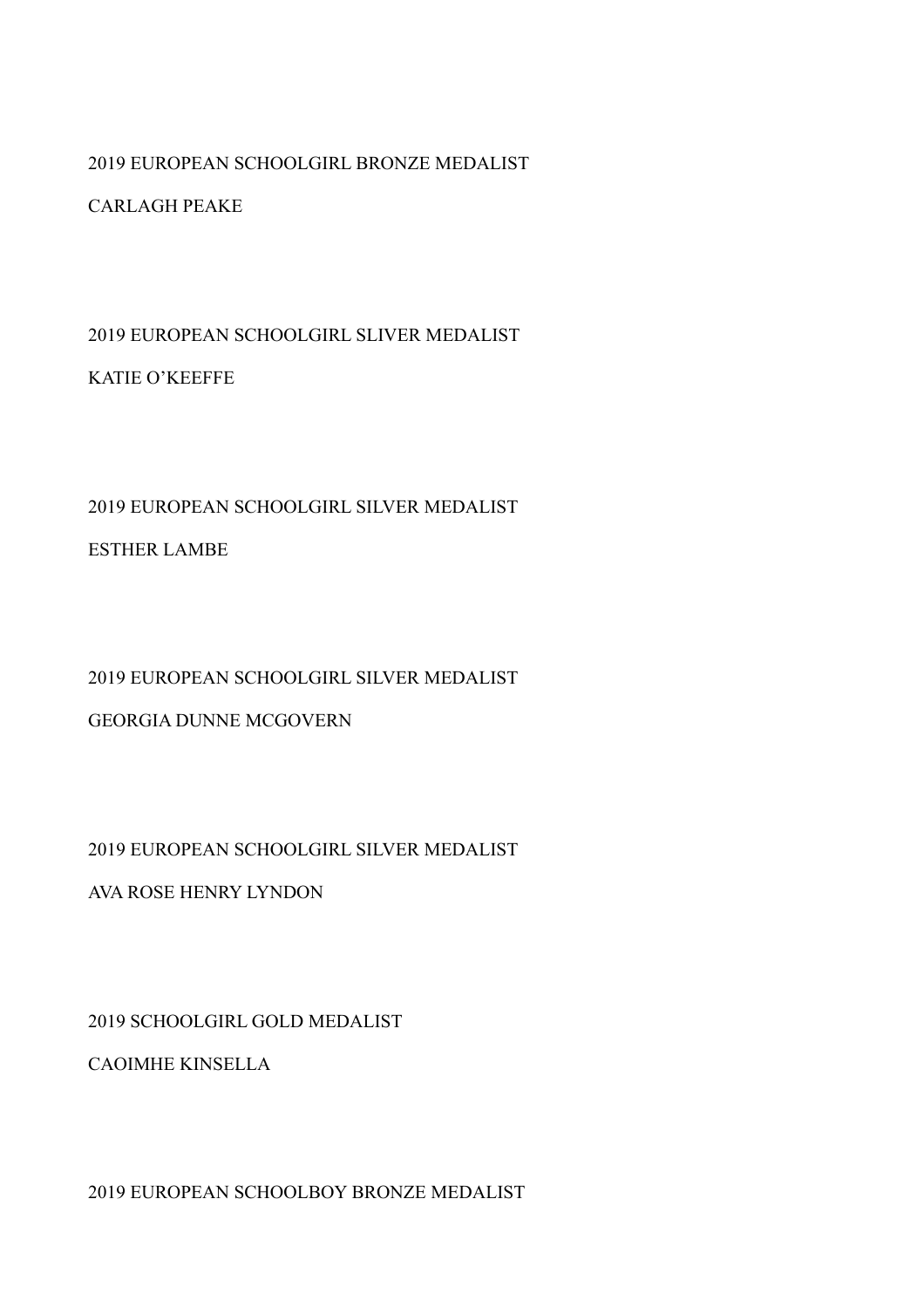#### 2019 EUROPEAN SCHOOLGIRL BRONZE MEDALIST

#### CARLAGH PEAKE

2019 EUROPEAN SCHOOLGIRL SLIVER MEDALIST KATIE O'KEEFFE

## 2019 EUROPEAN SCHOOLGIRL SILVER MEDALIST

ESTHER LAMBE

## 2019 EUROPEAN SCHOOLGIRL SILVER MEDALIST

#### GEORGIA DUNNE MCGOVERN

#### 2019 EUROPEAN SCHOOLGIRL SILVER MEDALIST

AVA ROSE HENRY LYNDON

2019 SCHOOLGIRL GOLD MEDALIST

CAOIMHE KINSELLA

2019 EUROPEAN SCHOOLBOY BRONZE MEDALIST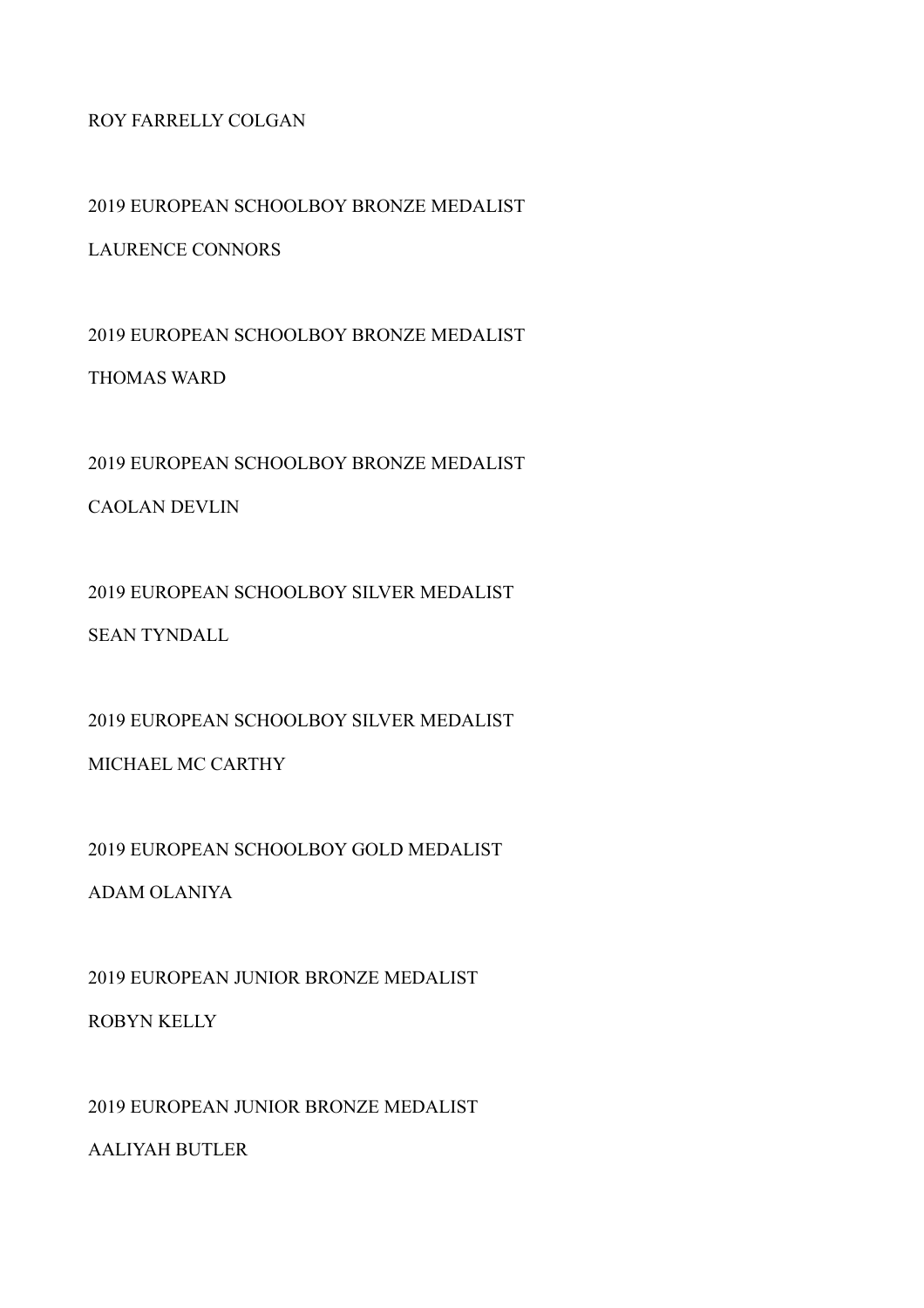#### ROY FARRELLY COLGAN

2019 EUROPEAN SCHOOLBOY BRONZE MEDALIST

LAURENCE CONNORS

2019 EUROPEAN SCHOOLBOY BRONZE MEDALIST THOMAS WARD

2019 EUROPEAN SCHOOLBOY BRONZE MEDALIST

CAOLAN DEVLIN

2019 EUROPEAN SCHOOLBOY SILVER MEDALIST SEAN TYNDALL

2019 EUROPEAN SCHOOLBOY SILVER MEDALIST MICHAEL MC CARTHY

2019 EUROPEAN SCHOOLBOY GOLD MEDALIST

ADAM OLANIYA

2019 EUROPEAN JUNIOR BRONZE MEDALIST ROBYN KELLY

2019 EUROPEAN JUNIOR BRONZE MEDALIST AALIYAH BUTLER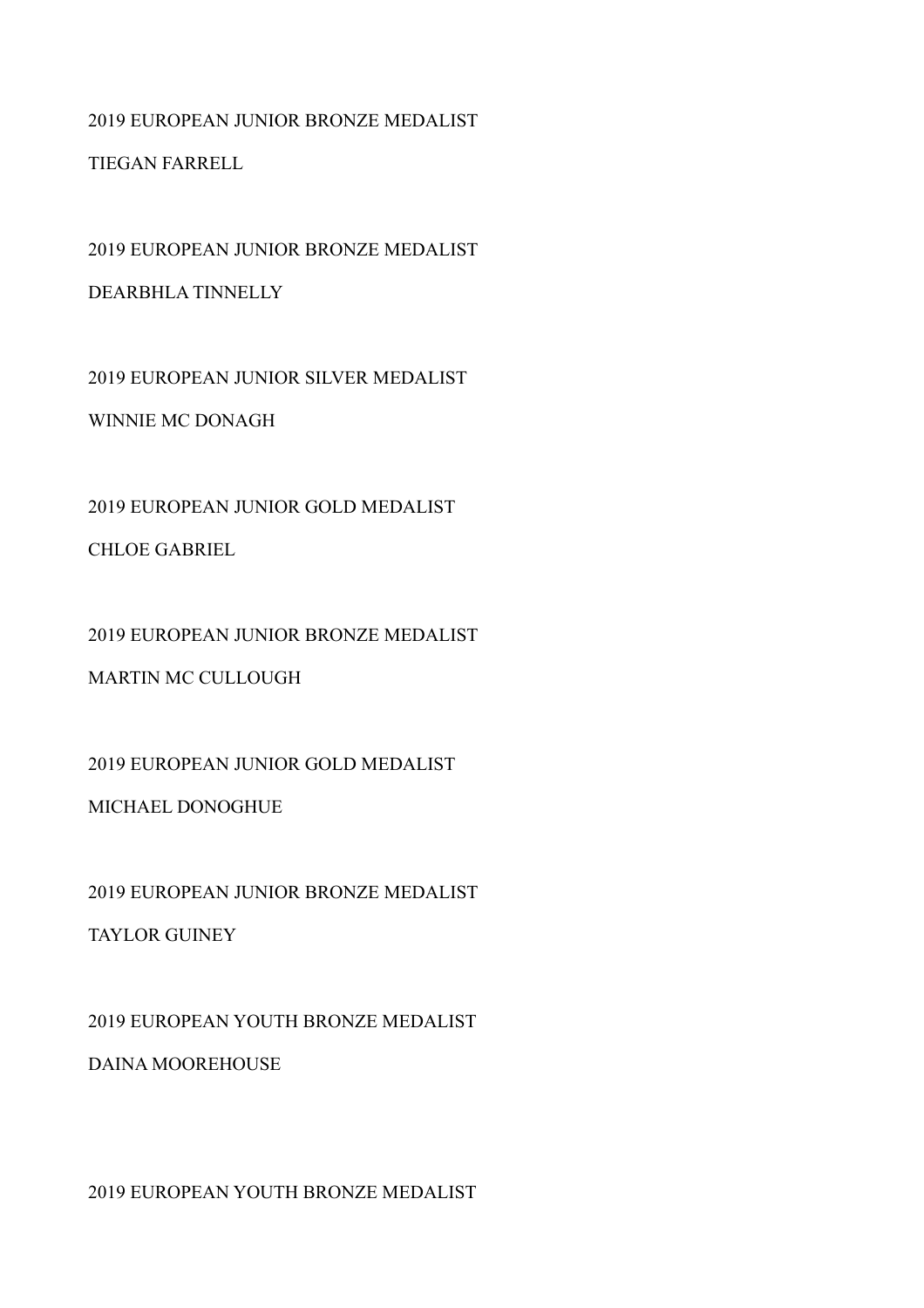## 2019 EUROPEAN JUNIOR BRONZE MEDALIST TIEGAN FARRELL

2019 EUROPEAN JUNIOR BRONZE MEDALIST DEARBHLA TINNELLY

2019 EUROPEAN JUNIOR SILVER MEDALIST WINNIE MC DONAGH

2019 EUROPEAN JUNIOR GOLD MEDALIST CHLOE GABRIEL

2019 EUROPEAN JUNIOR BRONZE MEDALIST

MARTIN MC CULLOUGH

2019 EUROPEAN JUNIOR GOLD MEDALIST

MICHAEL DONOGHUE

2019 EUROPEAN JUNIOR BRONZE MEDALIST TAYLOR GUINEY

2019 EUROPEAN YOUTH BRONZE MEDALIST

DAINA MOOREHOUSE

2019 EUROPEAN YOUTH BRONZE MEDALIST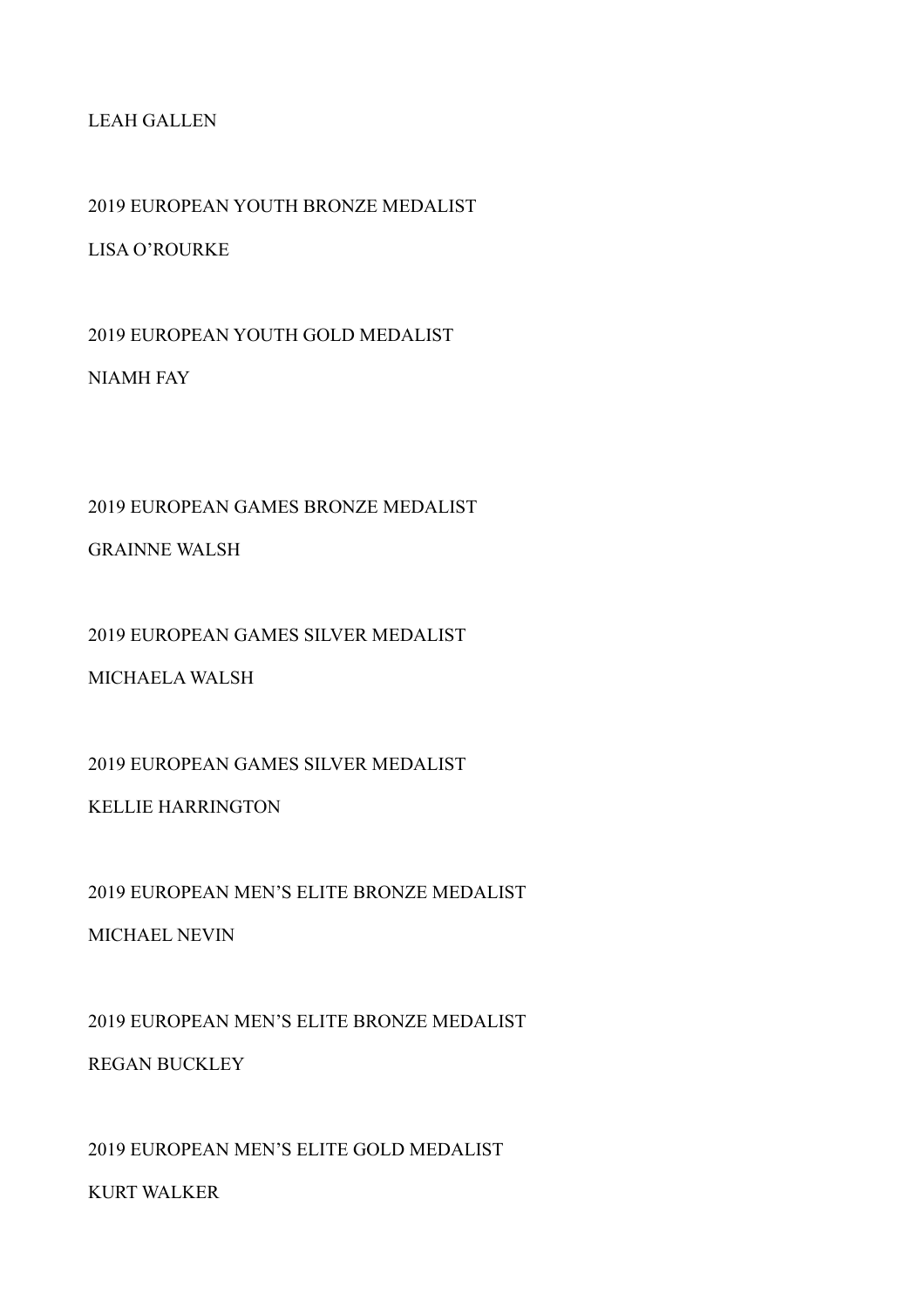#### LEAH GALLEN

2019 EUROPEAN YOUTH BRONZE MEDALIST

LISA O'ROURKE

2019 EUROPEAN YOUTH GOLD MEDALIST NIAMH FAY

2019 EUROPEAN GAMES BRONZE MEDALIST

GRAINNE WALSH

2019 EUROPEAN GAMES SILVER MEDALIST

MICHAELA WALSH

2019 EUROPEAN GAMES SILVER MEDALIST

KELLIE HARRINGTON

2019 EUROPEAN MEN'S ELITE BRONZE MEDALIST

MICHAEL NEVIN

2019 EUROPEAN MEN'S ELITE BRONZE MEDALIST

REGAN BUCKLEY

2019 EUROPEAN MEN'S ELITE GOLD MEDALIST

KURT WALKER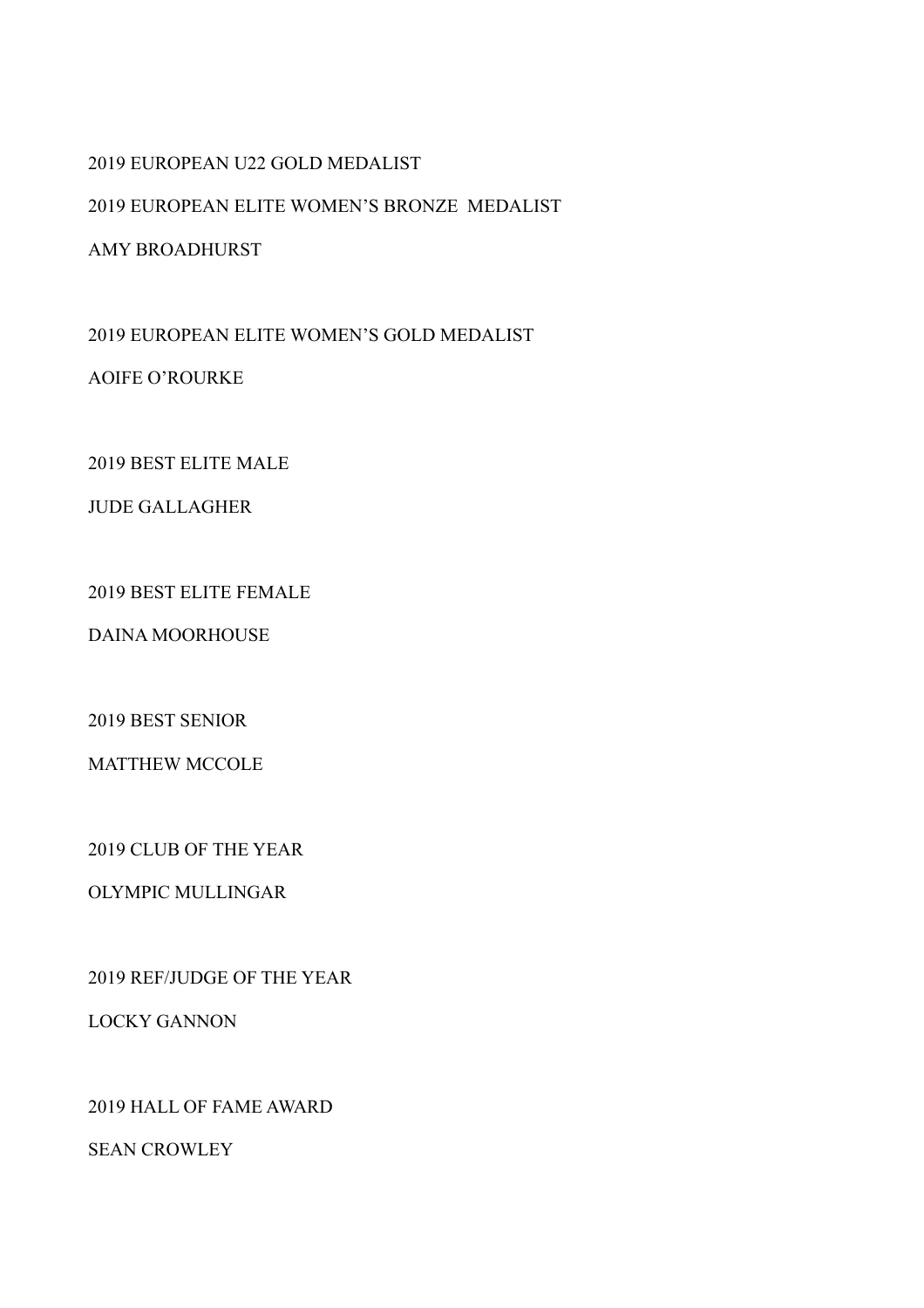#### 2019 EUROPEAN U22 GOLD MEDALIST

2019 EUROPEAN ELITE WOMEN'S BRONZE MEDALIST

AMY BROADHURST

2019 EUROPEAN ELITE WOMEN'S GOLD MEDALIST AOIFE O'ROURKE

2019 BEST ELITE MALE

JUDE GALLAGHER

2019 BEST ELITE FEMALE

DAINA MOORHOUSE

2019 BEST SENIOR

MATTHEW MCCOLE

2019 CLUB OF THE YEAR

OLYMPIC MULLINGAR

2019 REF/JUDGE OF THE YEAR

LOCKY GANNON

2019 HALL OF FAME AWARD

SEAN CROWLEY